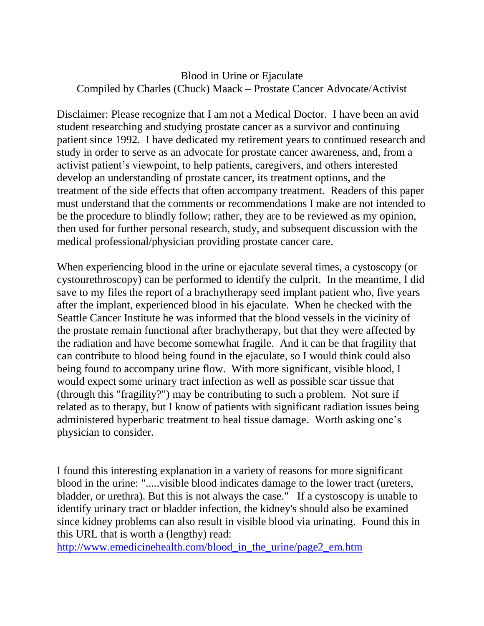## Blood in Urine or Ejaculate Compiled by Charles (Chuck) Maack – Prostate Cancer Advocate/Activist

Disclaimer: Please recognize that I am not a Medical Doctor. I have been an avid student researching and studying prostate cancer as a survivor and continuing patient since 1992. I have dedicated my retirement years to continued research and study in order to serve as an advocate for prostate cancer awareness, and, from a activist patient's viewpoint, to help patients, caregivers, and others interested develop an understanding of prostate cancer, its treatment options, and the treatment of the side effects that often accompany treatment. Readers of this paper must understand that the comments or recommendations I make are not intended to be the procedure to blindly follow; rather, they are to be reviewed as my opinion, then used for further personal research, study, and subsequent discussion with the medical professional/physician providing prostate cancer care.

When experiencing blood in the urine or ejaculate several times, a cystoscopy (or cystourethroscopy) can be performed to identify the culprit. In the meantime, I did save to my files the report of a brachytherapy seed implant patient who, five years after the implant, experienced blood in his ejaculate. When he checked with the Seattle Cancer Institute he was informed that the blood vessels in the vicinity of the prostate remain functional after brachytherapy, but that they were affected by the radiation and have become somewhat fragile. And it can be that fragility that can contribute to blood being found in the ejaculate, so I would think could also being found to accompany urine flow. With more significant, visible blood, I would expect some urinary tract infection as well as possible scar tissue that (through this "fragility?") may be contributing to such a problem. Not sure if related as to therapy, but I know of patients with significant radiation issues being administered hyperbaric treatment to heal tissue damage. Worth asking one's physician to consider.

I found this interesting explanation in a variety of reasons for more significant blood in the urine: ".....visible blood indicates damage to the lower tract (ureters, bladder, or urethra). But this is not always the case." If a cystoscopy is unable to identify urinary tract or bladder infection, the kidney's should also be examined since kidney problems can also result in visible blood via urinating. Found this in this URL that is worth a (lengthy) read:

[http://www.emedicinehealth.com/blood\\_in\\_the\\_urine/page2\\_em.htm](http://www.emedicinehealth.com/blood_in_the_urine/page2_em.htm)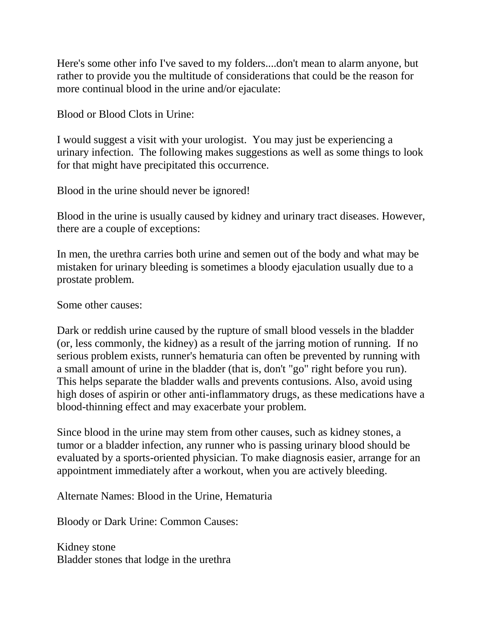Here's some other info I've saved to my folders....don't mean to alarm anyone, but rather to provide you the multitude of considerations that could be the reason for more continual blood in the urine and/or ejaculate:

Blood or Blood Clots in Urine:

I would suggest a visit with your urologist. You may just be experiencing a urinary infection. The following makes suggestions as well as some things to look for that might have precipitated this occurrence.

Blood in the urine should never be ignored!

Blood in the urine is usually caused by kidney and urinary tract diseases. However, there are a couple of exceptions:

In men, the urethra carries both urine and semen out of the body and what may be mistaken for urinary bleeding is sometimes a bloody ejaculation usually due to a prostate problem.

Some other causes:

Dark or reddish urine caused by the rupture of small blood vessels in the bladder (or, less commonly, the kidney) as a result of the jarring motion of running. If no serious problem exists, runner's hematuria can often be prevented by running with a small amount of urine in the bladder (that is, don't "go" right before you run). This helps separate the bladder walls and prevents contusions. Also, avoid using high doses of aspirin or other anti-inflammatory drugs, as these medications have a blood-thinning effect and may exacerbate your problem.

Since blood in the urine may stem from other causes, such as kidney stones, a tumor or a bladder infection, any runner who is passing urinary blood should be evaluated by a sports-oriented physician. To make diagnosis easier, arrange for an appointment immediately after a workout, when you are actively bleeding.

Alternate Names: Blood in the Urine, Hematuria

Bloody or Dark Urine: Common Causes:

Kidney stone Bladder stones that lodge in the urethra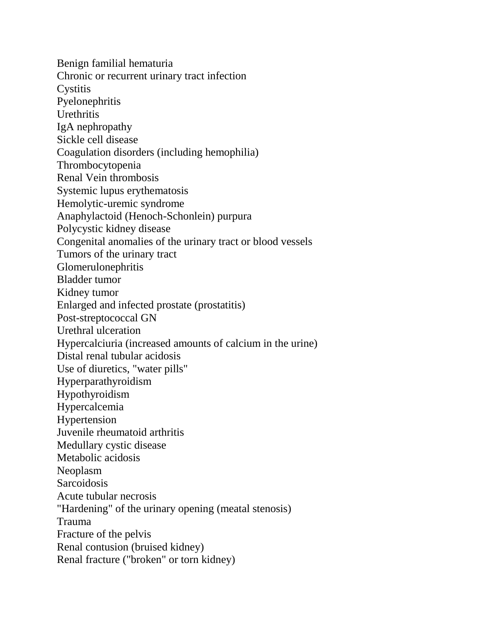Benign familial hematuria Chronic or recurrent urinary tract infection **Cystitis** Pyelonephritis **Urethritis** IgA nephropathy Sickle cell disease Coagulation disorders (including hemophilia) Thrombocytopenia Renal Vein thrombosis Systemic lupus erythematosis Hemolytic-uremic syndrome Anaphylactoid (Henoch-Schonlein) purpura Polycystic kidney disease Congenital anomalies of the urinary tract or blood vessels Tumors of the urinary tract Glomerulonephritis Bladder tumor Kidney tumor Enlarged and infected prostate (prostatitis) Post-streptococcal GN Urethral ulceration Hypercalciuria (increased amounts of calcium in the urine) Distal renal tubular acidosis Use of diuretics, "water pills" Hyperparathyroidism Hypothyroidism Hypercalcemia Hypertension Juvenile rheumatoid arthritis Medullary cystic disease Metabolic acidosis Neoplasm **Sarcoidosis** Acute tubular necrosis "Hardening" of the urinary opening (meatal stenosis) Trauma Fracture of the pelvis Renal contusion (bruised kidney) Renal fracture ("broken" or torn kidney)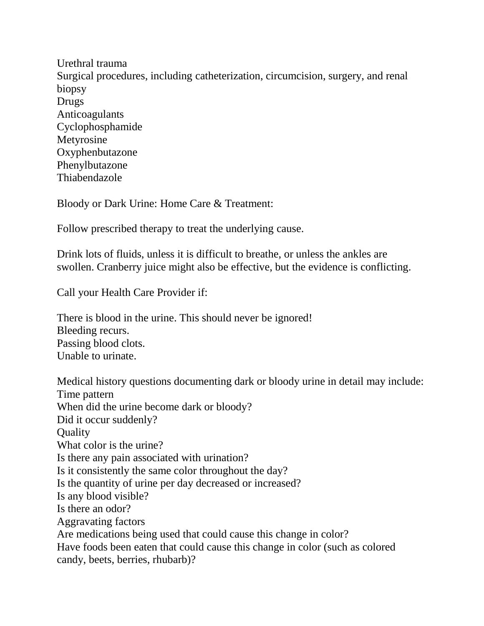Urethral trauma Surgical procedures, including catheterization, circumcision, surgery, and renal biopsy Drugs Anticoagulants Cyclophosphamide Metyrosine Oxyphenbutazone Phenylbutazone Thiabendazole

Bloody or Dark Urine: Home Care & Treatment:

Follow prescribed therapy to treat the underlying cause.

Drink lots of fluids, unless it is difficult to breathe, or unless the ankles are swollen. Cranberry juice might also be effective, but the evidence is conflicting.

Call your Health Care Provider if:

There is blood in the urine. This should never be ignored! Bleeding recurs. Passing blood clots. Unable to urinate.

Medical history questions documenting dark or bloody urine in detail may include: Time pattern When did the urine become dark or bloody? Did it occur suddenly? **Quality** What color is the urine? Is there any pain associated with urination? Is it consistently the same color throughout the day? Is the quantity of urine per day decreased or increased? Is any blood visible? Is there an odor? Aggravating factors Are medications being used that could cause this change in color? Have foods been eaten that could cause this change in color (such as colored candy, beets, berries, rhubarb)?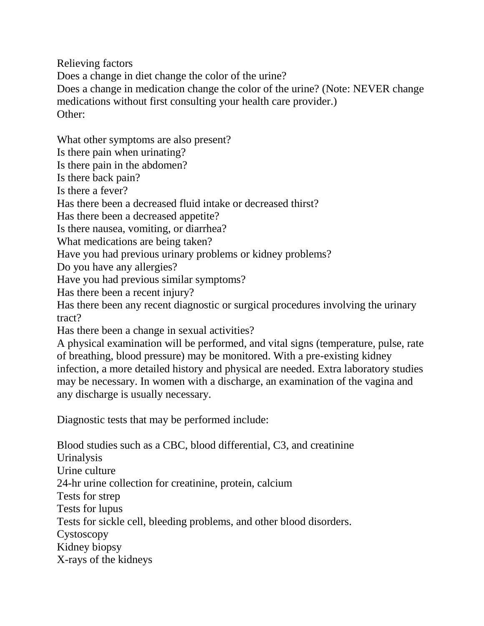Relieving factors Does a change in diet change the color of the urine? Does a change in medication change the color of the urine? (Note: NEVER change medications without first consulting your health care provider.) Other:

What other symptoms are also present?

Is there pain when urinating?

Is there pain in the abdomen?

Is there back pain?

Is there a fever?

Has there been a decreased fluid intake or decreased thirst?

Has there been a decreased appetite?

Is there nausea, vomiting, or diarrhea?

What medications are being taken?

Have you had previous urinary problems or kidney problems?

Do you have any allergies?

Have you had previous similar symptoms?

Has there been a recent injury?

Has there been any recent diagnostic or surgical procedures involving the urinary tract?

Has there been a change in sexual activities?

A physical examination will be performed, and vital signs (temperature, pulse, rate of breathing, blood pressure) may be monitored. With a pre-existing kidney infection, a more detailed history and physical are needed. Extra laboratory studies may be necessary. In women with a discharge, an examination of the vagina and any discharge is usually necessary.

Diagnostic tests that may be performed include:

Blood studies such as a CBC, blood differential, C3, and creatinine Urinalysis Urine culture 24-hr urine collection for creatinine, protein, calcium Tests for strep Tests for lupus Tests for sickle cell, bleeding problems, and other blood disorders. Cystoscopy Kidney biopsy X-rays of the kidneys